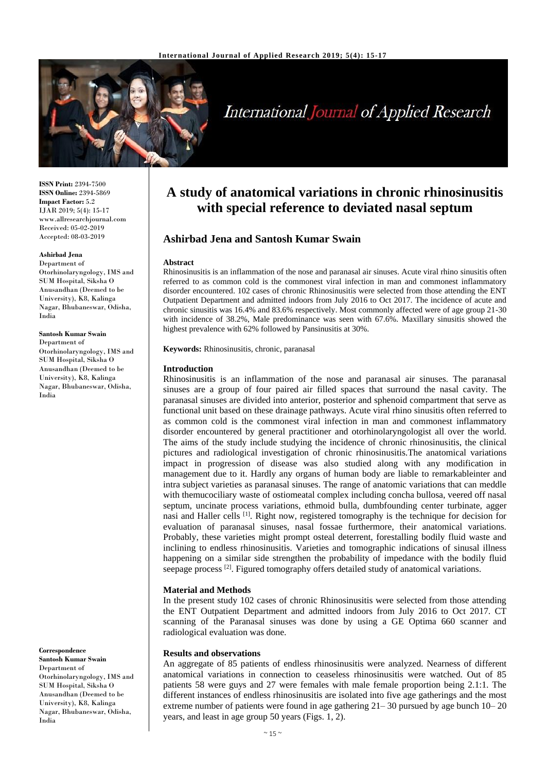

# **International Journal of Applied Research**

**ISSN Print:** 2394-7500 **ISSN Online:** 2394-5869 **Impact Factor:** 5.2 IJAR 2019; 5(4): 15-17 www.allresearchjournal.com Received: 05-02-2019 Accepted: 08-03-2019

#### **Ashirbad Jena**

Department of Otorhinolaryngology, IMS and SUM Hospital, Siksha O Anusandhan (Deemed to be University), K8, Kalinga Nagar, Bhubaneswar, Odisha, India

#### **Santosh Kumar Swain**

Department of Otorhinolaryngology, IMS and SUM Hospital, Siksha O Anusandhan (Deemed to be University), K8, Kalinga Nagar, Bhubaneswar, Odisha, India

**Correspondence**

**Santosh Kumar Swain** Department of Otorhinolaryngology, IMS and SUM Hospital, Siksha O Anusandhan (Deemed to be University), K8, Kalinga Nagar, Bhubaneswar, Odisha, India

## **A study of anatomical variations in chronic rhinosinusitis with special reference to deviated nasal septum**

### **Ashirbad Jena and Santosh Kumar Swain**

#### **Abstract**

Rhinosinusitis is an inflammation of the nose and paranasal air sinuses. Acute viral rhino sinusitis often referred to as common cold is the commonest viral infection in man and commonest inflammatory disorder encountered. 102 cases of chronic Rhinosinusitis were selected from those attending the ENT Outpatient Department and admitted indoors from July 2016 to Oct 2017. The incidence of acute and chronic sinusitis was 16.4% and 83.6% respectively. Most commonly affected were of age group 21-30 with incidence of 38.2%, Male predominance was seen with 67.6%. Maxillary sinusitis showed the highest prevalence with 62% followed by Pansinusitis at 30%.

**Keywords:** Rhinosinusitis, chronic, paranasal

#### **Introduction**

Rhinosinusitis is an inflammation of the nose and paranasal air sinuses. The paranasal sinuses are a group of four paired air filled spaces that surround the nasal cavity. The paranasal sinuses are divided into anterior, posterior and sphenoid compartment that serve as functional unit based on these drainage pathways. Acute viral rhino sinusitis often referred to as common cold is the commonest viral infection in man and commonest inflammatory disorder encountered by general practitioner and otorhinolaryngologist all over the world. The aims of the study include studying the incidence of chronic rhinosinusitis, the clinical pictures and radiological investigation of chronic rhinosinusitis.The anatomical variations impact in progression of disease was also studied along with any modification in management due to it. Hardly any organs of human body are liable to remarkableinter and intra subject varieties as paranasal sinuses. The range of anatomic variations that can meddle with themucociliary waste of ostiomeatal complex including concha bullosa, veered off nasal septum, uncinate process variations, ethmoid bulla, dumbfounding center turbinate, agger nasi and Haller cells [1]. Right now, registered tomography is the technique for decision for evaluation of paranasal sinuses, nasal fossae furthermore, their anatomical variations. Probably, these varieties might prompt osteal deterrent, forestalling bodily fluid waste and inclining to endless rhinosinusitis. Varieties and tomographic indications of sinusal illness happening on a similar side strengthen the probability of impedance with the bodily fluid seepage process <sup>[2]</sup>. Figured tomography offers detailed study of anatomical variations.

#### **Material and Methods**

In the present study 102 cases of chronic Rhinosinusitis were selected from those attending the ENT Outpatient Department and admitted indoors from July 2016 to Oct 2017. CT scanning of the Paranasal sinuses was done by using a GE Optima 660 scanner and radiological evaluation was done.

#### **Results and observations**

An aggregate of 85 patients of endless rhinosinusitis were analyzed. Nearness of different anatomical variations in connection to ceaseless rhinosinusitis were watched. Out of 85 patients 58 were guys and 27 were females with male female proportion being 2.1:1. The different instances of endless rhinosinusitis are isolated into five age gatherings and the most extreme number of patients were found in age gathering 21– 30 pursued by age bunch 10– 20 years, and least in age group 50 years (Figs. 1, 2).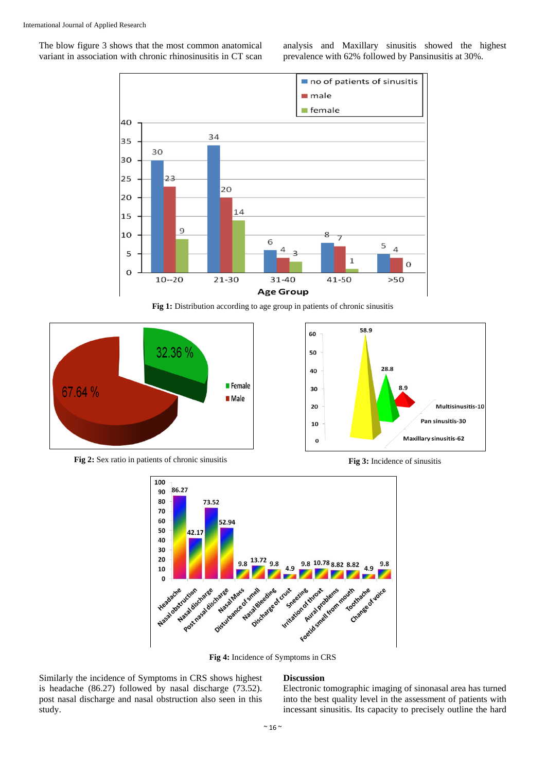The blow figure 3 shows that the most common anatomical variant in association with chronic rhinosinusitis in CT scan analysis and Maxillary sinusitis showed the highest prevalence with 62% followed by Pansinusitis at 30%.



Fig 1: Distribution according to age group in patients of chronic sinusitis





**Fig 2:** Sex ratio in patients of chronic sinusitis **Fig 3:** Incidence of sinusitis



**Fig 4:** Incidence of Symptoms in CRS

Similarly the incidence of Symptoms in CRS shows highest is headache (86.27) followed by nasal discharge (73.52). post nasal discharge and nasal obstruction also seen in this study.

#### **Discussion**

Electronic tomographic imaging of sinonasal area has turned into the best quality level in the assessment of patients with incessant sinusitis. Its capacity to precisely outline the hard